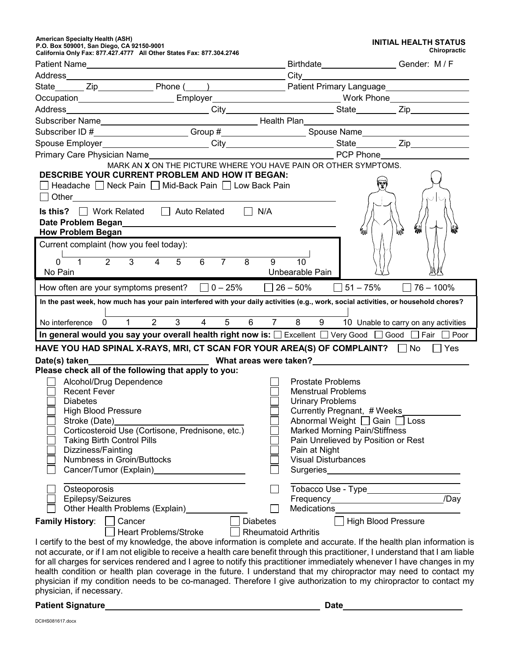**American Specialty Health (ASH) P.O. Box 509001, San Diego, CA 92150-9001 California Only Fax: 877.427.4777 All Other States Fax: 877.304.2746**

| <b>INITIAL HEALTH STATUS</b> |                     |
|------------------------------|---------------------|
|                              | <b>Chiropractic</b> |

| California Only Fax: 877.427.4777   All Other States Fax: 877.304.2746                                                                                                                                                                                       |                             |                                                                                                                                                                                                                                  |                                      |  |
|--------------------------------------------------------------------------------------------------------------------------------------------------------------------------------------------------------------------------------------------------------------|-----------------------------|----------------------------------------------------------------------------------------------------------------------------------------------------------------------------------------------------------------------------------|--------------------------------------|--|
|                                                                                                                                                                                                                                                              |                             |                                                                                                                                                                                                                                  |                                      |  |
|                                                                                                                                                                                                                                                              |                             |                                                                                                                                                                                                                                  |                                      |  |
|                                                                                                                                                                                                                                                              |                             |                                                                                                                                                                                                                                  |                                      |  |
| Occupation________________________Employer_______________________________Work Phone________________                                                                                                                                                          |                             |                                                                                                                                                                                                                                  |                                      |  |
|                                                                                                                                                                                                                                                              |                             |                                                                                                                                                                                                                                  |                                      |  |
|                                                                                                                                                                                                                                                              |                             |                                                                                                                                                                                                                                  |                                      |  |
| Subscriber ID #_____________________Group #______________________Spouse Name_______________________                                                                                                                                                          |                             |                                                                                                                                                                                                                                  |                                      |  |
|                                                                                                                                                                                                                                                              |                             |                                                                                                                                                                                                                                  |                                      |  |
|                                                                                                                                                                                                                                                              |                             |                                                                                                                                                                                                                                  |                                      |  |
| <b>DESCRIBE YOUR CURRENT PROBLEM AND HOW IT BEGAN:</b><br>Headache Neck Pain Mid-Back Pain Low Back Pain<br>$\Box$ Other<br><b>Is this?</b> $\Box$ Work Related $\Box$ Auto Related $\Box$ N/A                                                               |                             | MARK AN X ON THE PICTURE WHERE YOU HAVE PAIN OR OTHER SYMPTOMS.                                                                                                                                                                  | $\overline{\cup}$<br>ا ر             |  |
| Date Problem Began<br>and the Contract of Contract of Contract of Contract of Contract of Contract of Contract of Contract of Contract of Contract of Contract of Contract of Contract of Contract of Contract of Contract of Co<br><b>How Problem Began</b> |                             | MAN                                                                                                                                                                                                                              | My                                   |  |
| Current complaint (how you feel today):                                                                                                                                                                                                                      |                             |                                                                                                                                                                                                                                  |                                      |  |
| $3^{\circ}$<br>$\overline{5}$<br>$\overline{2}$<br>$\overline{4}$<br>$\mathbf 0$<br>$\mathbf{1}$                                                                                                                                                             | $6 \qquad 7 \qquad 8$<br>9  | 10                                                                                                                                                                                                                               |                                      |  |
| No Pain<br>How often are your symptoms present? $\Box$ 0 – 25% $\Box$ 26 – 50% $\Box$ 51 – 75%                                                                                                                                                               | Unbearable Pain             |                                                                                                                                                                                                                                  | $\Box$ 76 – 100%                     |  |
| In the past week, how much has your pain interfered with your daily activities (e.g., work, social activities, or household chores?                                                                                                                          |                             |                                                                                                                                                                                                                                  |                                      |  |
|                                                                                                                                                                                                                                                              |                             |                                                                                                                                                                                                                                  |                                      |  |
| $\overline{3}$<br>No interference 0 1 2                                                                                                                                                                                                                      | 4 5 6 7 8 9                 |                                                                                                                                                                                                                                  | 10 Unable to carry on any activities |  |
| In general would you say your overall health right now is: $\Box$ Excellent $\Box$ Very Good $\Box$ Good $\Box$ Fair $\Box$ Poor                                                                                                                             |                             |                                                                                                                                                                                                                                  |                                      |  |
| HAVE YOU HAD SPINAL X-RAYS, MRI, CT SCAN FOR YOUR AREA(S) OF COMPLAINT? $\Box$ No $\Box$ Yes                                                                                                                                                                 |                             |                                                                                                                                                                                                                                  |                                      |  |
| Date(s) taken <b>ted as the set of the set of the set of the set of the set of the set of the set of the set of the set of the set of the set of the set of the set of the set of the set of the set of the set of the set of the</b>                        |                             |                                                                                                                                                                                                                                  |                                      |  |
| Please check all of the following that apply to you:                                                                                                                                                                                                         |                             |                                                                                                                                                                                                                                  |                                      |  |
| Alcohol/Drug Dependence                                                                                                                                                                                                                                      |                             | <b>Prostate Problems</b>                                                                                                                                                                                                         |                                      |  |
| <b>Recent Fever</b>                                                                                                                                                                                                                                          |                             | <b>Menstrual Problems</b>                                                                                                                                                                                                        |                                      |  |
| <b>Diabetes</b>                                                                                                                                                                                                                                              |                             | <b>Urinary Problems</b>                                                                                                                                                                                                          |                                      |  |
| <b>High Blood Pressure</b>                                                                                                                                                                                                                                   |                             | Currently Pregnant, # Weeks_                                                                                                                                                                                                     |                                      |  |
| Stroke (Date) and the stroke (Date)                                                                                                                                                                                                                          |                             | Abnormal Weight □ Gain □ Loss                                                                                                                                                                                                    |                                      |  |
| Corticosteroid Use (Cortisone, Prednisone, etc.)                                                                                                                                                                                                             |                             | Marked Morning Pain/Stiffness                                                                                                                                                                                                    |                                      |  |
| <b>Taking Birth Control Pills</b><br>Dizziness/Fainting                                                                                                                                                                                                      |                             | Pain Unrelieved by Position or Rest<br>Pain at Night                                                                                                                                                                             |                                      |  |
| Numbness in Groin/Buttocks                                                                                                                                                                                                                                   |                             | <b>Visual Disturbances</b>                                                                                                                                                                                                       |                                      |  |
| Cancer/Tumor (Explain)<br><u>Cancer/Tumor</u> (Explain)                                                                                                                                                                                                      |                             |                                                                                                                                                                                                                                  |                                      |  |
|                                                                                                                                                                                                                                                              |                             |                                                                                                                                                                                                                                  |                                      |  |
| Osteoporosis                                                                                                                                                                                                                                                 |                             | Tobacco Use - Type<br>Manager Allen Manager Allen Manager Allen Manager Allen Manager Allen Manager Allen Manager Allen Manager Allen Manager Allen Manager Allen Manager Allen Manager Allen Manager Allen Manager Allen Manage |                                      |  |
| Epilepsy/Seizures                                                                                                                                                                                                                                            |                             |                                                                                                                                                                                                                                  |                                      |  |
| Other Health Problems (Explain)                                                                                                                                                                                                                              |                             | Medications Medications                                                                                                                                                                                                          |                                      |  |
| <b>Family History:</b><br>Cancer                                                                                                                                                                                                                             | <b>Diabetes</b>             | <b>High Blood Pressure</b>                                                                                                                                                                                                       |                                      |  |
| <b>Heart Problems/Stroke</b>                                                                                                                                                                                                                                 | <b>Rheumatoid Arthritis</b> |                                                                                                                                                                                                                                  |                                      |  |
| I certify to the best of my knowledge, the above information is complete and accurate. If the health plan information is                                                                                                                                     |                             |                                                                                                                                                                                                                                  |                                      |  |
| not accurate, or if I am not eligible to receive a health care benefit through this practitioner, I understand that I am liable<br>for all charges for services rendered and I agree to notify this practitioner immediately whenever I have changes in my   |                             |                                                                                                                                                                                                                                  |                                      |  |
| health condition or health plan coverage in the future. I understand that my chiropractor may need to contact my                                                                                                                                             |                             |                                                                                                                                                                                                                                  |                                      |  |
| physician if my condition needs to be co-managed. Therefore I give authorization to my chiropractor to contact my                                                                                                                                            |                             |                                                                                                                                                                                                                                  |                                      |  |
| physician, if necessary.                                                                                                                                                                                                                                     |                             |                                                                                                                                                                                                                                  |                                      |  |

| <b>Patient Signature</b> | Date |
|--------------------------|------|
|                          |      |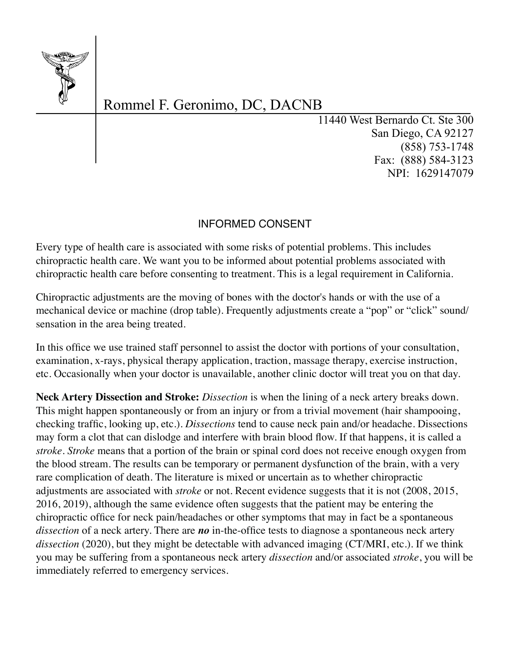

# Rommel F. Geronimo, DC, DACNB

11440 West Bernardo Ct. Ste 300 San Diego, CA 92127 (858) 753-1748 Fax: (888) 584-3123 NPI: 1629147079

### INFORMED CONSENT

Every type of health care is associated with some risks of potential problems. This includes chiropractic health care. We want you to be informed about potential problems associated with chiropractic health care before consenting to treatment. This is a legal requirement in California.

Chiropractic adjustments are the moving of bones with the doctor's hands or with the use of a mechanical device or machine (drop table). Frequently adjustments create a "pop" or "click" sound/ sensation in the area being treated.

In this office we use trained staff personnel to assist the doctor with portions of your consultation, examination, x-rays, physical therapy application, traction, massage therapy, exercise instruction, etc. Occasionally when your doctor is unavailable, another clinic doctor will treat you on that day.

**Neck Artery Dissection and Stroke:** *Dissection* is when the lining of a neck artery breaks down. This might happen spontaneously or from an injury or from a trivial movement (hair shampooing, checking traffic, looking up, etc.). *Dissections* tend to cause neck pain and/or headache. Dissections may form a clot that can dislodge and interfere with brain blood flow. If that happens, it is called a *stroke*. *Stroke* means that a portion of the brain or spinal cord does not receive enough oxygen from the blood stream. The results can be temporary or permanent dysfunction of the brain, with a very rare complication of death. The literature is mixed or uncertain as to whether chiropractic adjustments are associated with *stroke* or not. Recent evidence suggests that it is not (2008, 2015, 2016, 2019), although the same evidence often suggests that the patient may be entering the chiropractic office for neck pain/headaches or other symptoms that may in fact be a spontaneous *dissection* of a neck artery. There are *no* in-the-office tests to diagnose a spontaneous neck artery dissection (2020), but they might be detectable with advanced imaging (CT/MRI, etc.). If we think you may be suffering from a spontaneous neck artery *dissection* and/or associated *stroke*, you will be immediately referred to emergency services.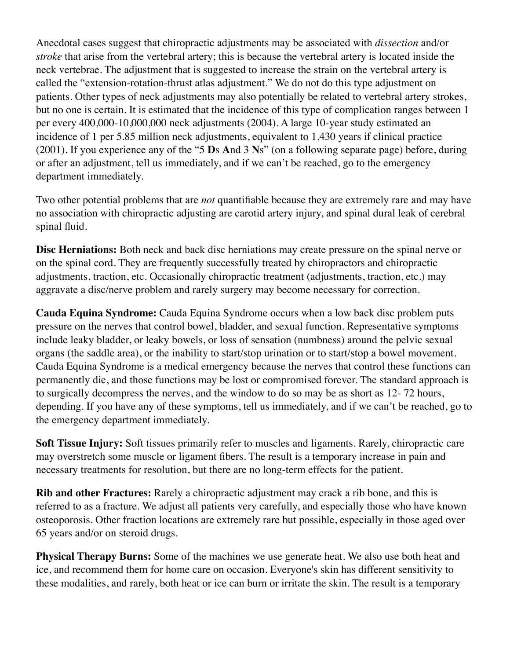Anecdotal cases suggest that chiropractic adjustments may be associated with *dissection* and/or *stroke* that arise from the vertebral artery; this is because the vertebral artery is located inside the neck vertebrae. The adjustment that is suggested to increase the strain on the vertebral artery is called the "extension-rotation-thrust atlas adjustment." We do not do this type adjustment on patients. Other types of neck adjustments may also potentially be related to vertebral artery strokes, but no one is certain. It is estimated that the incidence of this type of complication ranges between 1 per every 400,000-10,000,000 neck adjustments (2004). A large 10-year study estimated an incidence of 1 per 5.85 million neck adjustments, equivalent to 1,430 years if clinical practice (2001). If you experience any of the "5 **D**s **A**nd 3 **N**s" (on a following separate page) before, during or after an adjustment, tell us immediately, and if we can't be reached, go to the emergency department immediately.

Two other potential problems that are *not* quantifiable because they are extremely rare and may have no association with chiropractic adjusting are carotid artery injury, and spinal dural leak of cerebral spinal fluid.

**Disc Herniations:** Both neck and back disc herniations may create pressure on the spinal nerve or on the spinal cord. They are frequently successfully treated by chiropractors and chiropractic adjustments, traction, etc. Occasionally chiropractic treatment (adjustments, traction, etc.) may aggravate a disc/nerve problem and rarely surgery may become necessary for correction.

**Cauda Equina Syndrome:** Cauda Equina Syndrome occurs when a low back disc problem puts pressure on the nerves that control bowel, bladder, and sexual function. Representative symptoms include leaky bladder, or leaky bowels, or loss of sensation (numbness) around the pelvic sexual organs (the saddle area), or the inability to start/stop urination or to start/stop a bowel movement. Cauda Equina Syndrome is a medical emergency because the nerves that control these functions can permanently die, and those functions may be lost or compromised forever. The standard approach is to surgically decompress the nerves, and the window to do so may be as short as 12- 72 hours, depending. If you have any of these symptoms, tell us immediately, and if we can't be reached, go to the emergency department immediately.

**Soft Tissue Injury:** Soft tissues primarily refer to muscles and ligaments. Rarely, chiropractic care may overstretch some muscle or ligament fibers. The result is a temporary increase in pain and necessary treatments for resolution, but there are no long-term effects for the patient.

**Rib and other Fractures:** Rarely a chiropractic adjustment may crack a rib bone, and this is referred to as a fracture. We adjust all patients very carefully, and especially those who have known osteoporosis. Other fraction locations are extremely rare but possible, especially in those aged over 65 years and/or on steroid drugs.

**Physical Therapy Burns:** Some of the machines we use generate heat. We also use both heat and ice, and recommend them for home care on occasion. Everyone's skin has different sensitivity to these modalities, and rarely, both heat or ice can burn or irritate the skin. The result is a temporary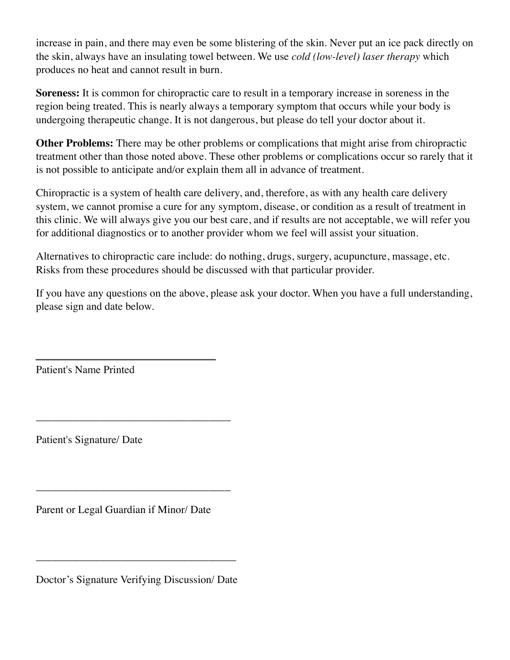increase in pain, and there may even be some blistering of the skin. Never put an ice pack directly on the skin, always have an insulating towel between. We use *cold (low-level) laser therapy* which produces no heat and cannot result in burn.

**Soreness:** It is common for chiropractic care to result in a temporary increase in soreness in the region being treated. This is nearly always a temporary symptom that occurs while your body is undergoing therapeutic change. It is not dangerous, but please do tell your doctor about it.

**Other Problems:** There may be other problems or complications that might arise from chiropractic treatment other than those noted above. These other problems or complications occur so rarely that it is not possible to anticipate and/or explain them all in advance of treatment.

Chiropractic is a system of health care delivery, and, therefore, as with any health care delivery system, we cannot promise a cure for any symptom, disease, or condition as a result of treatment in this clinic. We will always give you our best care, and if results are not acceptable, we will refer you for additional diagnostics or to another provider whom we feel will assist your situation.

Alternatives to chiropractic care include: do nothing, drugs, surgery, acupuncture, massage, etc. Risks from these procedures should be discussed with that particular provider.

If you have any questions on the above, please ask your doctor. When you have a full understanding, please sign and date below.

Patient's Name Printed

Patient's Signature/ Date

Parent or Legal Guardian if Minor/ Date

\_\_\_\_\_\_\_\_\_\_\_\_\_\_\_\_\_\_\_\_\_\_\_\_\_\_\_\_\_\_\_\_\_\_\_\_

\_\_\_\_\_\_\_\_\_\_\_\_\_\_\_\_\_\_\_\_\_\_\_\_\_\_\_\_\_\_\_\_\_\_\_\_

Doctor's Signature Verifying Discussion/ Date

\_\_\_\_\_\_\_\_\_\_\_\_\_\_\_\_\_\_\_\_\_\_\_\_\_\_\_\_\_\_\_\_\_\_\_\_\_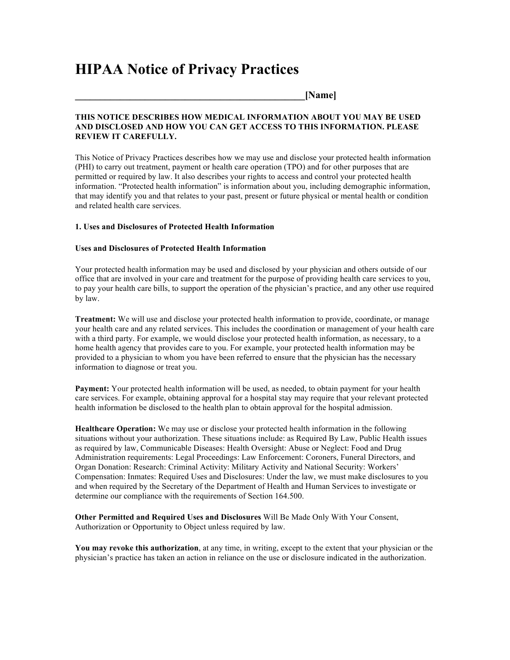## **HIPAA Notice of Privacy Practices**

**\_\_\_\_\_\_\_\_\_\_\_\_\_\_\_\_\_\_\_\_\_\_\_\_\_\_\_\_\_\_\_\_\_\_\_\_\_\_\_\_\_\_\_\_\_\_[Name]** 

#### **THIS NOTICE DESCRIBES HOW MEDICAL INFORMATION ABOUT YOU MAY BE USED AND DISCLOSED AND HOW YOU CAN GET ACCESS TO THIS INFORMATION. PLEASE REVIEW IT CAREFULLY.**

This Notice of Privacy Practices describes how we may use and disclose your protected health information (PHI) to carry out treatment, payment or health care operation (TPO) and for other purposes that are permitted or required by law. It also describes your rights to access and control your protected health information. "Protected health information" is information about you, including demographic information, that may identify you and that relates to your past, present or future physical or mental health or condition and related health care services.

#### **1. Uses and Disclosures of Protected Health Information**

#### **Uses and Disclosures of Protected Health Information**

Your protected health information may be used and disclosed by your physician and others outside of our office that are involved in your care and treatment for the purpose of providing health care services to you, to pay your health care bills, to support the operation of the physician's practice, and any other use required by law.

**Treatment:** We will use and disclose your protected health information to provide, coordinate, or manage your health care and any related services. This includes the coordination or management of your health care with a third party. For example, we would disclose your protected health information, as necessary, to a home health agency that provides care to you. For example, your protected health information may be provided to a physician to whom you have been referred to ensure that the physician has the necessary information to diagnose or treat you.

**Payment:** Your protected health information will be used, as needed, to obtain payment for your health care services. For example, obtaining approval for a hospital stay may require that your relevant protected health information be disclosed to the health plan to obtain approval for the hospital admission.

**Healthcare Operation:** We may use or disclose your protected health information in the following situations without your authorization. These situations include: as Required By Law, Public Health issues as required by law, Communicable Diseases: Health Oversight: Abuse or Neglect: Food and Drug Administration requirements: Legal Proceedings: Law Enforcement: Coroners, Funeral Directors, and Organ Donation: Research: Criminal Activity: Military Activity and National Security: Workers' Compensation: Inmates: Required Uses and Disclosures: Under the law, we must make disclosures to you and when required by the Secretary of the Department of Health and Human Services to investigate or determine our compliance with the requirements of Section 164.500.

**Other Permitted and Required Uses and Disclosures** Will Be Made Only With Your Consent, Authorization or Opportunity to Object unless required by law.

**You may revoke this authorization**, at any time, in writing, except to the extent that your physician or the physician's practice has taken an action in reliance on the use or disclosure indicated in the authorization.